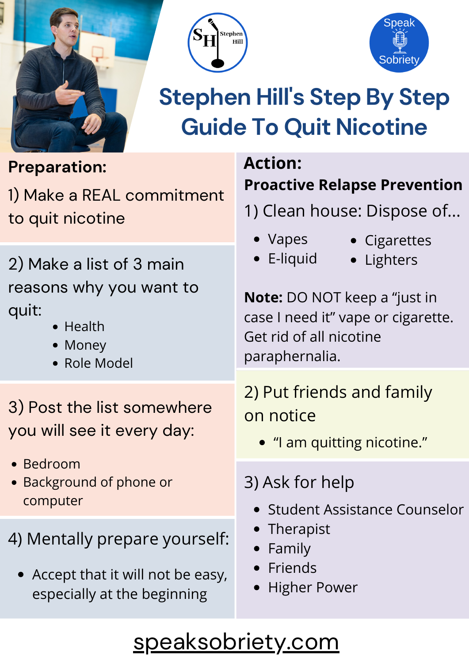





## **Stephen Hill' s Step By Step Guide To Quit Nicotine**

#### **Preparation:**

1) Make a REAL commitment to quit nicotine

2) Make a list of 3 main reasons why you want to quit:

- Health
- Money
- Role Model

3) Post the list somewhere you will see it every day:

- Bedroom
- Background of phone or computer

4) Mentally prepare yourself:

Accept that it will not be easy, especially at the beginning

#### **Action: Proactive Relapse Prevention**

- 1) Clean house: Dispose of...
	- Vapes
- Cigarettes
- E-liquid
- · Lighters

**Note:** DO NOT keep a "just in case I need it" vape or cigarette. Get rid of all nicotine paraphernalia.

#### 2) Put friends and family on notice

- "I am quitting nicotine."
- 3) Ask for help
	- Student Assistance Counselor
	- Therapist
	- Family
	- Friends
	- Higher Power

### [speaksobriety.com](http://speaksobriety.com/)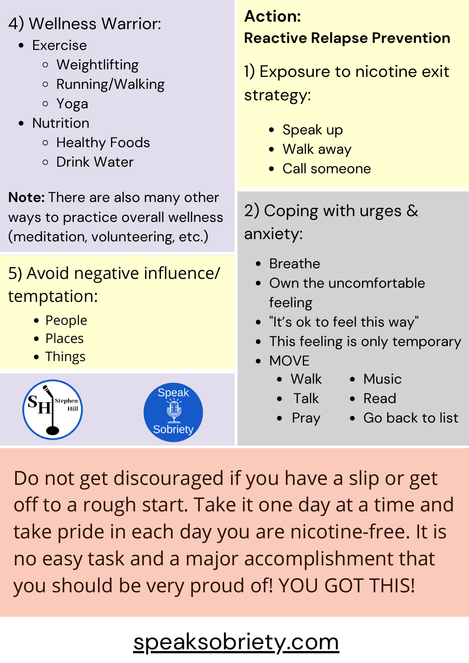#### 4) Wellness Warrior:

- Exercise
	- Weightlifting
	- o Running/Walking
	- Yoga
- Nutrition
	- o Healthy Foods
	- o Drink Water

**Note:** There are also many other ways to practice overall wellness (meditation, volunteering, etc.)

### 5) Avoid negative influence/ temptation:

- People
- Places
- Things



#### **Action: Reactive Relapse Prevention**

1) Exposure to nicotine exit strategy:

- Speak up
- Walk away
- Call someone

2) Coping with urges & anxiety:

- Breathe
- Own the uncomfortable feeling
- "It's ok to feel this way"
- This feeling is only temporary
- MOVE
	- Walk • Music
	- Talk • Read
	- Pray
- Go back to list

Do not get discouraged if you have a slip or get off to a rough start. Take it one day at a time and take pride in each day you are nicotine-free. It is no easy task and a major accomplishment that you should be very proud of! YOU GOT THIS!

# [speaksobriety.com](http://speaksobriety.com/)